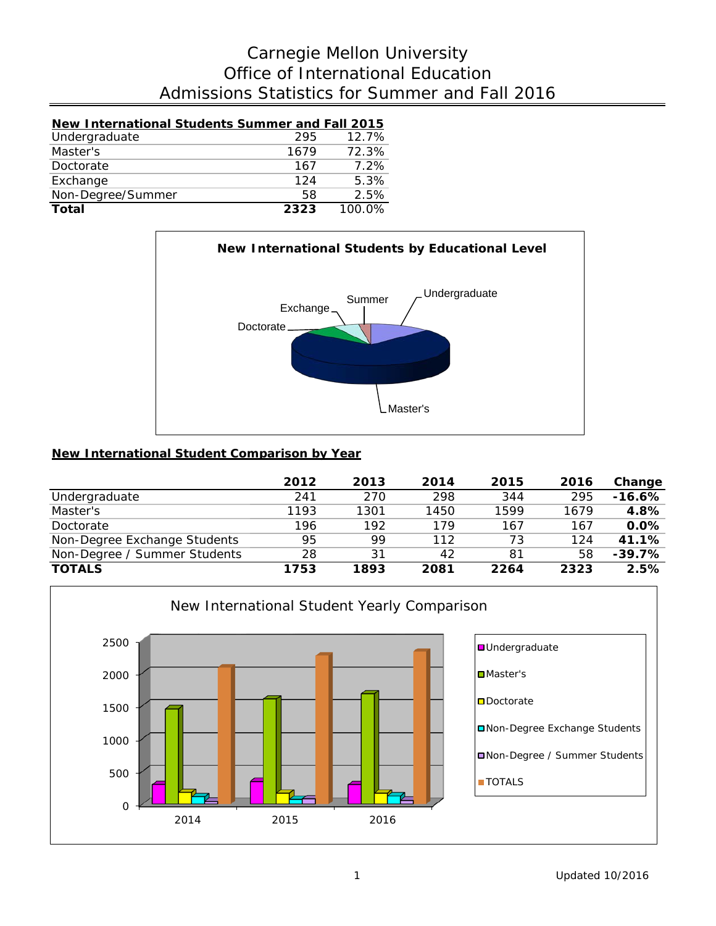## Admissions Statistics for Summer and Fall 2016 Office of International Education Carnegie Mellon University

| New International Students Summer and Fall 2015 |      |          |
|-------------------------------------------------|------|----------|
| Undergraduate                                   | 295  | $12.7\%$ |
| Master's                                        | 1679 | 72.3%    |
| Doctorate                                       | 167  | $7.2\%$  |
| Exchange                                        | 124  | 5.3%     |
| Non-Degree/Summer                               | 58   | 2.5%     |

**Total 2323** 100.0%



### **New International Student Comparison by Year**

|                              | 2012 | 2013 | 2014 | 2015 | 2016 | Change   |
|------------------------------|------|------|------|------|------|----------|
| Undergraduate                | 241  | 270  | 298  | 344  | 295  | $-16.6%$ |
| Master's                     | 1193 | 1301 | 1450 | 1599 | 1679 | 4.8%     |
| Doctorate                    | 196  | 192  | 179  | 167  | 167  | 0.0%     |
| Non-Degree Exchange Students | 95   | 99   | 112  | 73   | 124  | 41.1%    |
| Non-Degree / Summer Students | 28   | 31   | 42   | 81   | 58   | $-39.7%$ |
| <b>TOTALS</b>                | 1753 | 1893 | 2081 | 2264 | 2323 | 2.5%     |

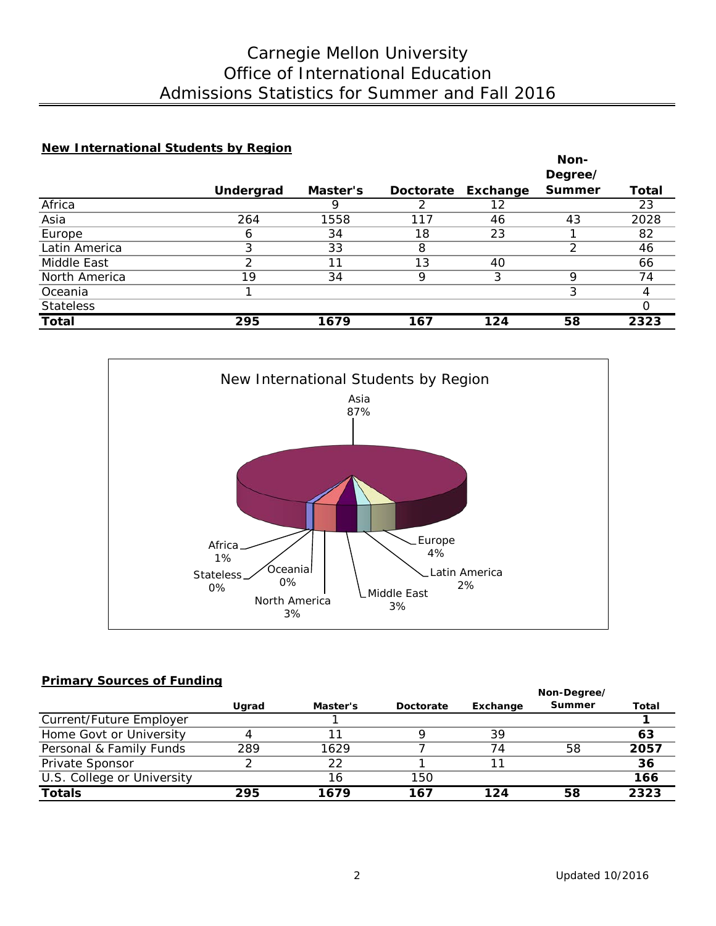## Admissions Statistics for Summer and Fall 2016 Office of International Education Carnegie Mellon University

### **New International Students by Region**

|                  |           |          |                  |          | Non-          |       |
|------------------|-----------|----------|------------------|----------|---------------|-------|
|                  |           |          |                  |          | Degree/       |       |
|                  | Undergrad | Master's | <b>Doctorate</b> | Exchange | <b>Summer</b> | Total |
| Africa           |           |          |                  | 12       |               | 23    |
| Asia             | 264       | 1558     | 117              | 46       | 43            | 2028  |
| Europe           | 6         | 34       | 18               | 23       |               | 82    |
| Latin America    | 3         | 33       | 8                |          |               | 46    |
| Middle East      |           | 11       | 13               | 40       |               | 66    |
| North America    | 19        | 34       | Q                | 3        | Q             | 74    |
| Oceania          |           |          |                  |          |               |       |
| <b>Stateless</b> |           |          |                  |          |               |       |
| <b>Total</b>     | 295       | 1679     | 167              | 124      | 58            | 2323  |



### **Primary Sources of Funding**

|                            | Ugrad | Master's | Doctorate | Exchange | <b>Summer</b> | Total |
|----------------------------|-------|----------|-----------|----------|---------------|-------|
| Current/Future Employer    |       |          |           |          |               |       |
| Home Govt or University    | 4     |          |           | 39       |               | 63    |
| Personal & Family Funds    | 289   | 1629     |           | 74       | 58            | 2057  |
| Private Sponsor            |       | 22       |           |          |               | 36    |
| U.S. College or University |       | 16       | 150       |          |               | 166   |
| <b>Totals</b>              | 295   | 1679     | 167       | 124      | 58            | 2323  |

**Non-Degree/**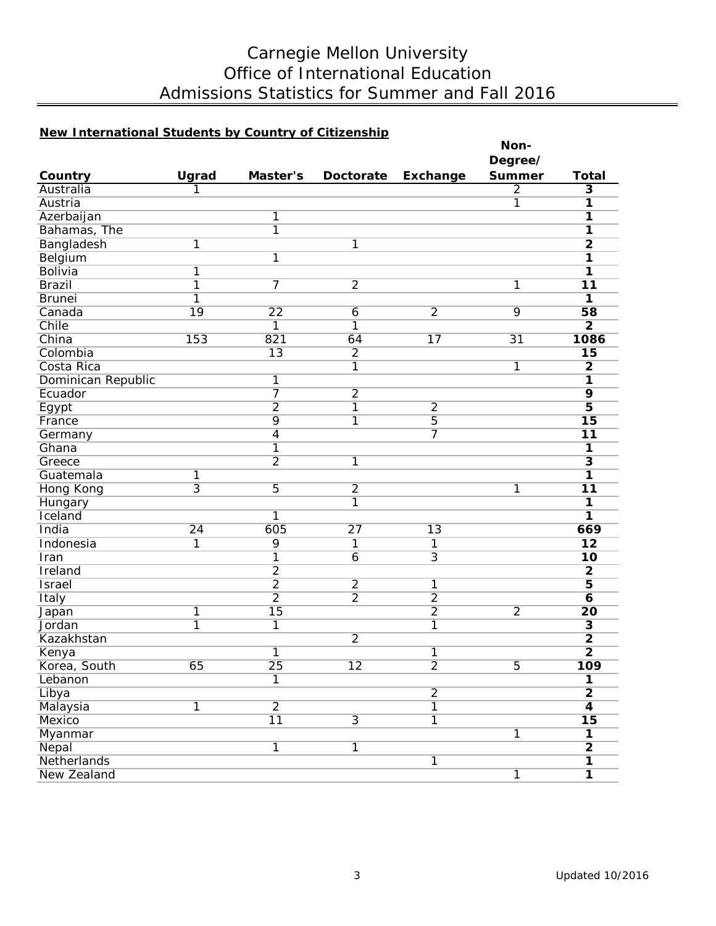# Carnegie Mellon University Office of International Education Admissions Statistics for Summer and Fall 2016

## **New International Students by Country of Citizenship**

|                    |                         |                 |                  |                 | Non-           |                         |
|--------------------|-------------------------|-----------------|------------------|-----------------|----------------|-------------------------|
|                    |                         |                 |                  |                 | Degree/        |                         |
| Country            | Ugrad                   | Master's        | <b>Doctorate</b> | Exchange        | <b>Summer</b>  | <b>Total</b>            |
| Australia          | 1                       |                 |                  |                 | $\overline{2}$ | $\overline{\mathbf{3}}$ |
| Austria            |                         |                 |                  |                 | $\overline{1}$ | $\overline{\mathbf{1}}$ |
| Azerbaijan         |                         | 1               |                  |                 |                | $\overline{\mathbf{1}}$ |
| Bahamas, The       |                         | $\overline{1}$  |                  |                 |                | $\overline{1}$          |
| Bangladesh         | $\overline{1}$          |                 | 1                |                 |                | $\overline{2}$          |
| Belgium            |                         | 1               |                  |                 |                | 1                       |
| <b>Bolivia</b>     | 1                       |                 |                  |                 |                | 1                       |
| <b>Brazil</b>      | $\overline{1}$          | 7               | $\overline{2}$   |                 | 1              | $\overline{11}$         |
| <b>Brunei</b>      | $\overline{1}$          |                 |                  |                 |                | $\overline{\mathbf{1}}$ |
| Canada             | 19                      | $\overline{22}$ | 6                | $\overline{2}$  | 9              | 58                      |
| Chile              |                         | 1               | 1                |                 |                | $\overline{2}$          |
| China              | 153                     | 821             | 64               | 17              | 31             | 1086                    |
| Colombia           |                         | $\overline{13}$ | $\overline{2}$   |                 |                | 15                      |
| Costa Rica         |                         |                 | 1                |                 | $\overline{1}$ | $\overline{2}$          |
| Dominican Republic |                         | 1               |                  |                 |                | 1                       |
| Ecuador            |                         |                 | $\overline{2}$   |                 |                | $\overline{9}$          |
| Egypt              |                         | $\overline{2}$  | 1                | $\overline{2}$  |                | $\overline{\mathbf{5}}$ |
| France             |                         | 9               | 1                | $\overline{5}$  |                | $\overline{15}$         |
| Germany            |                         | $\overline{4}$  |                  | 7               |                | $\overline{11}$         |
| Ghana              |                         | 1               |                  |                 |                | $\overline{1}$          |
| Greece             |                         | $\overline{2}$  | $\overline{1}$   |                 |                | $\overline{\mathbf{3}}$ |
| Guatemala          | 1                       |                 |                  |                 |                | 1                       |
| Hong Kong          | $\overline{3}$          | 5               | $\overline{2}$   |                 | $\overline{1}$ | 11                      |
| Hungary            |                         |                 | 1                |                 |                | $\overline{1}$          |
| Iceland            |                         | 1               |                  |                 |                | 1                       |
| India              | $\overline{24}$         | 605             | $\overline{27}$  | $\overline{13}$ |                | 669                     |
| Indonesia          | 1                       | 9               | 1                | 1               |                | $\overline{12}$         |
| Iran               |                         | $\overline{1}$  | $\overline{6}$   | $\overline{3}$  |                | 10                      |
| Ireland            |                         | $\overline{2}$  |                  |                 |                | $\overline{2}$          |
| <b>Israel</b>      |                         | $\overline{2}$  | $\overline{2}$   | 1               |                | $\overline{5}$          |
| Italy              |                         | $\overline{2}$  | $\overline{2}$   | $\overline{2}$  |                | $\overline{\mathbf{6}}$ |
| Japan              | $\overline{\mathbf{1}}$ | $\overline{15}$ |                  | $\overline{2}$  | $\overline{2}$ | $\overline{20}$         |
| Jordan             | $\overline{1}$          | 1               |                  | 1               |                | $\overline{\mathbf{3}}$ |
| Kazakhstan         |                         |                 | $\overline{2}$   |                 |                | $\overline{\mathbf{2}}$ |
| Kenya              |                         | 1               |                  | 1               |                | $\overline{2}$          |
| Korea, South       | 65                      | $\overline{25}$ | $\overline{12}$  | $\overline{2}$  | 5              | 109                     |
| Lebanon            |                         | $\overline{1}$  |                  |                 |                | $\overline{\mathbf{1}}$ |
| Libya              |                         |                 |                  | $\overline{2}$  |                | $\overline{2}$          |
| Malaysia           | $\overline{1}$          | $\overline{2}$  |                  | $\overline{1}$  |                | $\overline{\mathbf{4}}$ |
| Mexico             |                         | $\overline{11}$ | $\overline{3}$   | $\overline{1}$  |                | $\overline{15}$         |
| Myanmar            |                         |                 |                  |                 | $\overline{1}$ | $\overline{\mathbf{1}}$ |
| Nepal              |                         | $\overline{1}$  | $\overline{1}$   |                 |                | $\overline{2}$          |
| Netherlands        |                         |                 |                  | $\overline{1}$  |                | $\overline{\mathbf{1}}$ |
| New Zealand        |                         |                 |                  |                 | $\overline{1}$ | $\overline{\mathbf{1}}$ |
|                    |                         |                 |                  |                 |                |                         |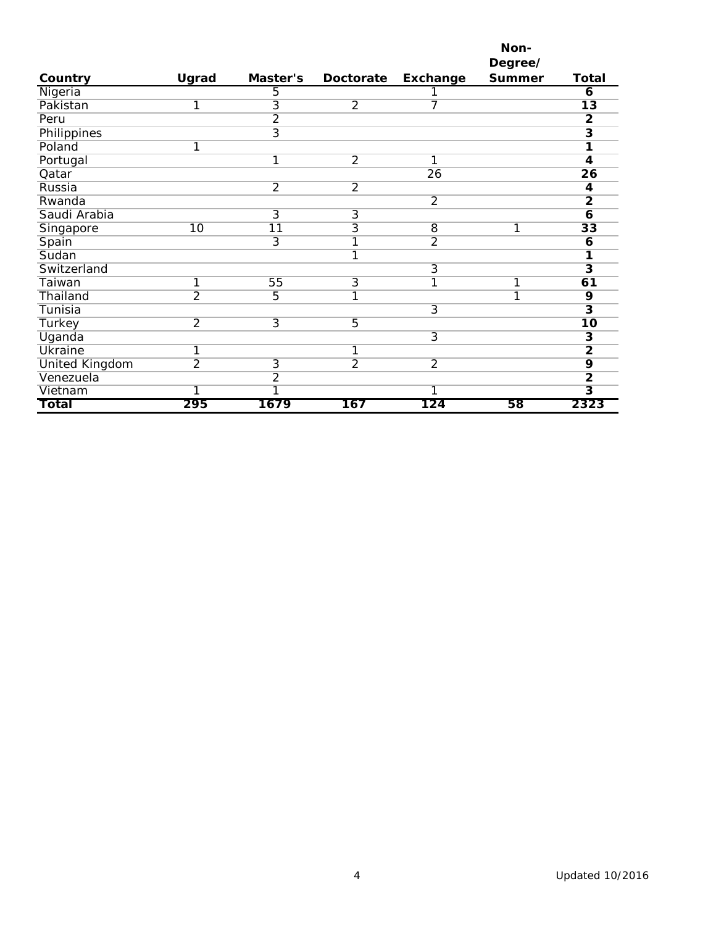|                       |                |                         |                |                 | Non-          |                         |
|-----------------------|----------------|-------------------------|----------------|-----------------|---------------|-------------------------|
|                       |                |                         |                |                 | Degree/       |                         |
| Country               | Ugrad          | Master's                | Doctorate      | <b>Exchange</b> | <b>Summer</b> | <b>Total</b>            |
| Nigeria               |                | 5                       |                |                 |               | 6                       |
| Pakistan              | 1              | $\overline{3}$          | $\overline{2}$ | 7               |               | $\overline{13}$         |
| Peru                  |                | $\overline{2}$          |                |                 |               | $\mathbf{2}$            |
| Philippines           |                | $\overline{3}$          |                |                 |               | $\overline{\mathbf{3}}$ |
| Poland                | 1              |                         |                |                 |               | 1                       |
| Portugal              |                | $\overline{1}$          | $\overline{2}$ | 1               |               | 4                       |
| Qatar                 |                |                         |                | $\overline{26}$ |               | $\overline{26}$         |
| Russia                |                | $\overline{2}$          | $\overline{2}$ |                 |               | 4                       |
| Rwanda                |                |                         |                | $\overline{2}$  |               | $\overline{2}$          |
| Saudi Arabia          |                | $\overline{3}$          | $\overline{3}$ |                 |               | $\overline{6}$          |
| Singapore             | 10             | 11                      | 3              | 8               | 1             | $\overline{33}$         |
| Spain                 |                | $\overline{3}$          | 1              | $\overline{2}$  |               | 6                       |
| Sudan                 |                |                         | 1              |                 |               |                         |
| Switzerland           |                |                         |                | $\overline{3}$  |               | $\overline{\mathbf{3}}$ |
| Taiwan                | 1              | 55                      | 3              | 1               | 1             | 61                      |
| Thailand              | $\overline{2}$ | 5                       | 1              |                 | 1             | 9                       |
| Tunisia               |                |                         |                | $\overline{3}$  |               | $\overline{\mathbf{3}}$ |
| Turkey                | $\overline{2}$ | $\overline{3}$          | $\overline{5}$ |                 |               | $\overline{10}$         |
| Uganda                |                |                         |                | $\overline{3}$  |               | $\overline{\mathbf{3}}$ |
| <b>Ukraine</b>        | 1              |                         | 1              |                 |               | $\overline{2}$          |
| <b>United Kingdom</b> | $\overline{2}$ | $\overline{3}$          | $\overline{2}$ | $\overline{2}$  |               | $\overline{9}$          |
| Venezuela             |                | $\overline{2}$          |                |                 |               | $\overline{2}$          |
| Vietnam               | 1              | $\overline{\mathbb{1}}$ |                | 1               |               | $\overline{\mathbf{3}}$ |
| Total                 | 295            | 1679                    | 167            | 124             | 58            | 2323                    |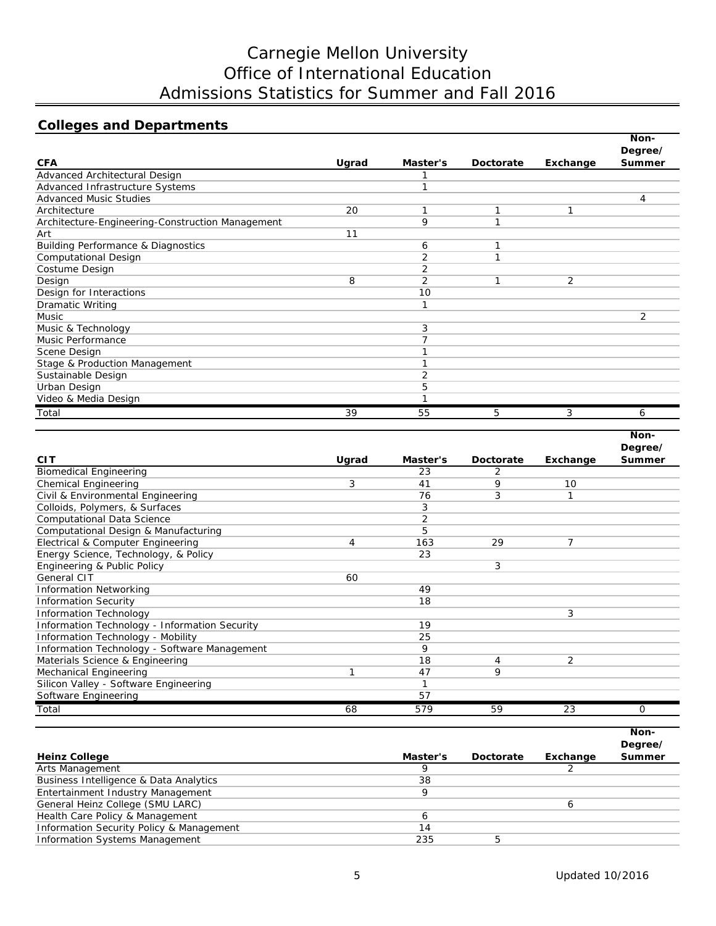# Carnegie Mellon University Office of International Education Admissions Statistics for Summer and Fall 2016

## **Colleges and Departments**

|                                                  |       |                |           |          | Non-          |
|--------------------------------------------------|-------|----------------|-----------|----------|---------------|
|                                                  |       |                |           |          | Degree/       |
| <b>CFA</b>                                       | Ugrad | Master's       | Doctorate | Exchange | <b>Summer</b> |
| Advanced Architectural Design                    |       |                |           |          |               |
| Advanced Infrastructure Systems                  |       |                |           |          |               |
| <b>Advanced Music Studies</b>                    |       |                |           |          | 4             |
| Architecture                                     | 20    | 1              | 1         | 1        |               |
| Architecture-Engineering-Construction Management |       | 9              | 1         |          |               |
| Art                                              | 11    |                |           |          |               |
| <b>Building Performance &amp; Diagnostics</b>    |       | 6              |           |          |               |
| <b>Computational Design</b>                      |       | 2              | ┑         |          |               |
| Costume Design                                   |       | 2              |           |          |               |
| Design                                           | 8     | $\overline{2}$ | 1         | 2        |               |
| Design for Interactions                          |       | 10             |           |          |               |
| <b>Dramatic Writing</b>                          |       |                |           |          |               |
| <b>Music</b>                                     |       |                |           |          | 2             |
| Music & Technology                               |       | 3              |           |          |               |
| Music Performance                                |       |                |           |          |               |
| Scene Design                                     |       |                |           |          |               |
| Stage & Production Management                    |       |                |           |          |               |
| Sustainable Design                               |       |                |           |          |               |
| Urban Design                                     |       | 5              |           |          |               |
| Video & Media Design                             |       |                |           |          |               |
| Total                                            | 39    | 55             | 5         | 3        | 6             |

|                                               |       |          |           |          | Non-     |
|-----------------------------------------------|-------|----------|-----------|----------|----------|
|                                               |       |          |           |          | Degree/  |
| <b>CIT</b>                                    | Ugrad | Master's | Doctorate | Exchange | Summer   |
| <b>Biomedical Engineering</b>                 |       | 23       | 2         |          |          |
| <b>Chemical Engineering</b>                   | 3     | 41       | 9         | 10       |          |
| Civil & Environmental Engineering             |       | 76       | 3         |          |          |
| Colloids, Polymers, & Surfaces                |       | 3        |           |          |          |
| <b>Computational Data Science</b>             |       | 2        |           |          |          |
| Computational Design & Manufacturing          |       | 5        |           |          |          |
| Electrical & Computer Engineering             | 4     | 163      | 29        | 7        |          |
| Energy Science, Technology, & Policy          |       | 23       |           |          |          |
| Engineering & Public Policy                   |       |          | 3         |          |          |
| General CIT                                   | 60    |          |           |          |          |
| <b>Information Networking</b>                 |       | 49       |           |          |          |
| <b>Information Security</b>                   |       | 18       |           |          |          |
| <b>Information Technology</b>                 |       |          |           | 3        |          |
| Information Technology - Information Security |       | 19       |           |          |          |
| Information Technology - Mobility             |       | 25       |           |          |          |
| Information Technology - Software Management  |       | 9        |           |          |          |
| Materials Science & Engineering               |       | 18       | 4         | 2        |          |
| Mechanical Engineering                        |       | 47       | 9         |          |          |
| Silicon Valley - Software Engineering         |       |          |           |          |          |
| Software Engineering                          |       | 57       |           |          |          |
| Total                                         | 68    | 579      | 59        | 23       | $\Omega$ |

|                                          |          |           |          | Non-<br>Degree/ |
|------------------------------------------|----------|-----------|----------|-----------------|
| <b>Heinz College</b>                     | Master's | Doctorate | Exchange | <b>Summer</b>   |
| Arts Management                          |          |           |          |                 |
| Business Intelligence & Data Analytics   | 38       |           |          |                 |
| Entertainment Industry Management        |          |           |          |                 |
| General Heinz College (SMU LARC)         |          |           | h        |                 |
| Health Care Policy & Management          |          |           |          |                 |
| Information Security Policy & Management | 14       |           |          |                 |
| Information Systems Management           | 235      | 5         |          |                 |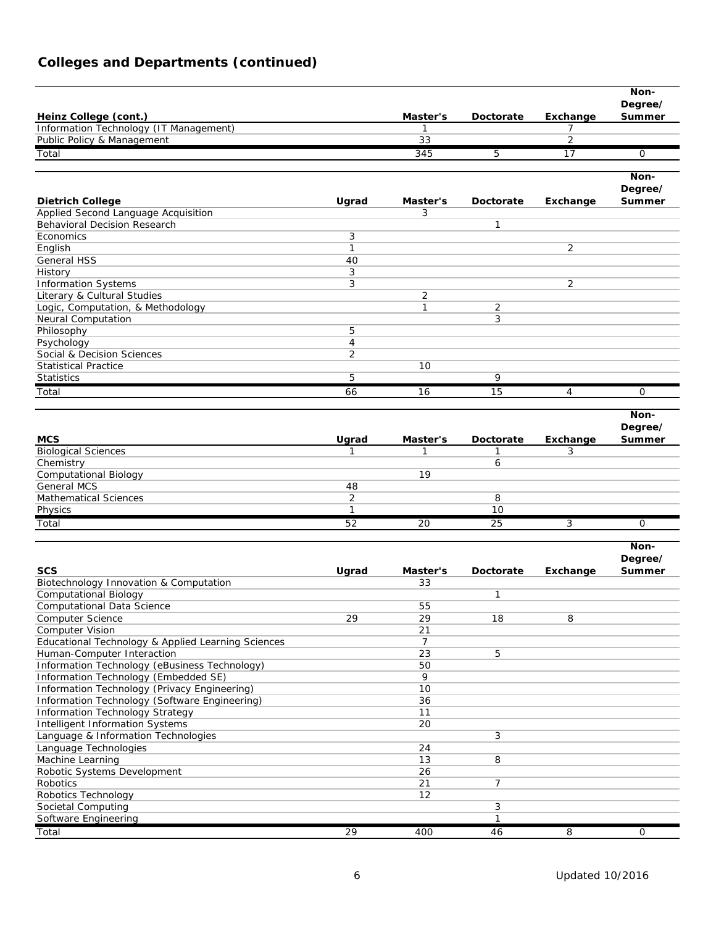## **Colleges and Departments (continued)**

|                                                                |                |                 |              |                      | Non-              |
|----------------------------------------------------------------|----------------|-----------------|--------------|----------------------|-------------------|
| Heinz College (cont.)                                          |                | Master's        | Doctorate    |                      | Degree/<br>Summer |
| Information Technology (IT Management)                         |                | $\mathbf{1}$    |              | <b>Exchange</b><br>7 |                   |
| Public Policy & Management                                     |                | 33              |              | $\overline{2}$       |                   |
| Total                                                          |                | 345             | 5            | 17                   | 0                 |
|                                                                |                |                 |              |                      |                   |
|                                                                |                |                 |              |                      | Non-              |
|                                                                |                |                 |              |                      | Degree/           |
| <b>Dietrich College</b><br>Applied Second Language Acquisition | Ugrad          | Master's<br>3   | Doctorate    | Exchange             | Summer            |
| <b>Behavioral Decision Research</b>                            |                |                 | $\mathbf{1}$ |                      |                   |
| Economics                                                      | 3              |                 |              |                      |                   |
| English                                                        | $\mathbf{1}$   |                 |              | $\overline{2}$       |                   |
| General HSS                                                    | 40             |                 |              |                      |                   |
| History                                                        | 3              |                 |              |                      |                   |
| <b>Information Systems</b>                                     | 3              |                 |              | 2                    |                   |
| Literary & Cultural Studies                                    |                | 2               |              |                      |                   |
| Logic, Computation, & Methodology                              |                | $\mathbf{1}$    | 2            |                      |                   |
| Neural Computation                                             |                |                 | 3            |                      |                   |
| Philosophy                                                     | 5              |                 |              |                      |                   |
| Psychology                                                     | $\overline{4}$ |                 |              |                      |                   |
| Social & Decision Sciences                                     | 2              |                 |              |                      |                   |
| Statistical Practice                                           |                | 10              |              |                      |                   |
| <b>Statistics</b>                                              | 5              |                 | 9            |                      |                   |
| Total                                                          | 66             | 16              | 15           | 4                    | 0                 |
|                                                                |                |                 |              |                      |                   |
|                                                                |                |                 |              |                      | Non-              |
|                                                                |                |                 |              |                      | Degree/           |
| <b>MCS</b>                                                     | Ugrad          | Master's        | Doctorate    | Exchange             | Summer            |
| <b>Biological Sciences</b>                                     | 1              | $\mathbf{1}$    | 1            | 3                    |                   |
| Chemistry                                                      |                |                 | 6            |                      |                   |
| <b>Computational Biology</b>                                   |                | 19              |              |                      |                   |
| <b>General MCS</b>                                             | 48             |                 |              |                      |                   |
| <b>Mathematical Sciences</b>                                   | $\overline{2}$ |                 | 8            |                      |                   |
| Physics                                                        | 1              |                 | 10           |                      |                   |
| Total                                                          | 52             | 20              | 25           | 3                    | 0                 |
|                                                                |                |                 |              |                      | Non-              |
|                                                                |                |                 |              |                      | Degree/           |
| <b>SCS</b>                                                     | Ugrad          | Master's        | Doctorate    | Exchange             | Summer            |
| Biotechnology Innovation & Computation                         |                | 33              |              |                      |                   |
| <b>Computational Biology</b>                                   |                |                 | 1            |                      |                   |
| <b>Computational Data Science</b>                              |                | 55              |              |                      |                   |
| Computer Science                                               | 29             | 29              | 18           | 8                    |                   |
| <b>Computer Vision</b>                                         |                | $\overline{21}$ |              |                      |                   |
| Educational Technology & Applied Learning Sciences             |                | 7               |              |                      |                   |
| Human-Computer Interaction                                     |                | 23              | 5            |                      |                   |
| Information Technology (eBusiness Technology)                  |                | 50              |              |                      |                   |
| Information Technology (Embedded SE)                           |                | 9               |              |                      |                   |
| Information Technology (Privacy Engineering)                   |                | 10              |              |                      |                   |
| Information Technology (Software Engineering)                  |                | 36              |              |                      |                   |
| <b>Information Technology Strategy</b>                         |                | 11              |              |                      |                   |
| Intelligent Information Systems                                |                | 20              |              |                      |                   |
| Language & Information Technologies                            |                |                 | 3            |                      |                   |
| Language Technologies                                          |                | 24              |              |                      |                   |
| Machine Learning                                               |                | 13              | 8            |                      |                   |
| Robotic Systems Development<br>Robotics                        |                | 26<br>21        | 7            |                      |                   |
| Robotics Technology                                            |                | 12              |              |                      |                   |
| Societal Computing                                             |                |                 | 3            |                      |                   |
| Software Engineering                                           |                |                 | 1            |                      |                   |
| Total                                                          | 29             | 400             | 46           | 8                    | 0                 |
|                                                                |                |                 |              |                      |                   |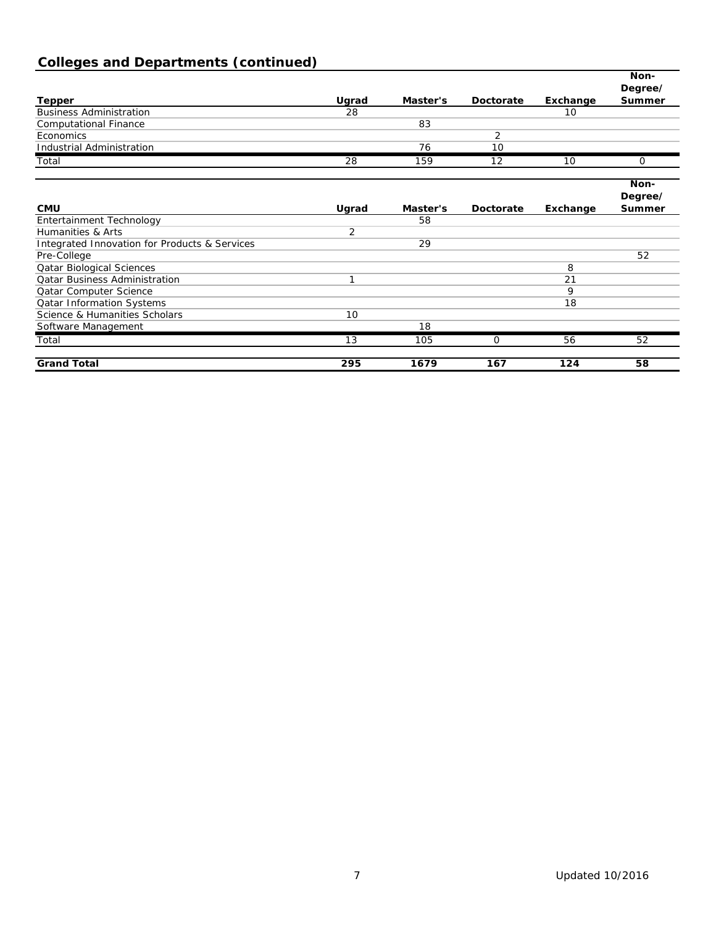# **Colleges and Departments (continued)**

|                                                          |       |          |           |          | Non-                     |
|----------------------------------------------------------|-------|----------|-----------|----------|--------------------------|
|                                                          |       |          |           |          | Degree/                  |
| <b>Tepper</b>                                            | Ugrad | Master's | Doctorate | Exchange | Summer                   |
| <b>Business Administration</b>                           | 28    |          |           | 10       |                          |
| <b>Computational Finance</b>                             |       | 83       |           |          |                          |
| Economics                                                |       |          | 2         |          |                          |
| <b>Industrial Administration</b>                         |       | 76       | 10        |          |                          |
| Total                                                    | 28    | 159      | 12        | 10       | 0                        |
|                                                          |       |          |           |          | Non-                     |
| <b>CMU</b>                                               | Ugrad | Master's | Doctorate | Exchange | Degree/<br><b>Summer</b> |
| Entertainment Technology                                 |       | 58       |           |          |                          |
| Humanities & Arts                                        | 2     |          |           |          |                          |
| <b>Integrated Innovation for Products &amp; Services</b> |       | 29       |           |          |                          |
| Pre-College                                              |       |          |           |          | 52                       |
| <b>Qatar Biological Sciences</b>                         |       |          |           | 8        |                          |
| <b>Qatar Business Administration</b>                     | 1     |          |           | 21       |                          |
| Qatar Computer Science                                   |       |          |           | 9        |                          |
| <b>Qatar Information Systems</b>                         |       |          |           | 18       |                          |
| Science & Humanities Scholars                            | 10    |          |           |          |                          |
| Software Management                                      |       | 18       |           |          |                          |
| Total                                                    | 13    | 105      | 0         | 56       | 52                       |
| <b>Grand Total</b>                                       | 295   | 1679     | 167       | 124      | 58                       |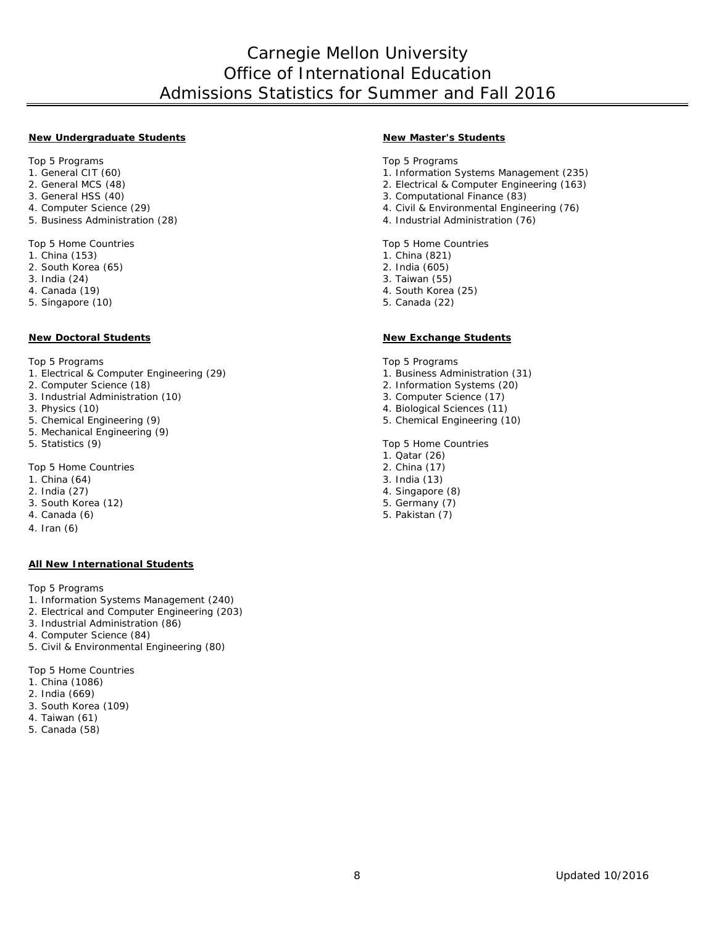## Carnegie Mellon University Office of International Education Admissions Statistics for Summer and Fall 2016

#### **New Undergraduate Students New Master's Students**

Top 5 Programs Top 5 Programs Top 5 Programs Top 5 Programs Top 5 Programs Top 5 Programs Top 5 Programs Top 5 Programs Top 5 Programs Top 5 Programs Top 5 Programs Top 5 Programs Top 5 Programs Top 5 Programs Top 5 Progra

- 
- 
- 
- 
- 

Top 5 Home Countries Top 5 Home Countries Top 5 Home Countries<br>1. China (153) 1. 2011 1. 2012 1. 2014

- 
- 2. South Korea  $(65)$ <br>3. India  $(24)$
- 
- 
- 5. Singapore (10)

#### **New Doctoral Students New Exchange Students**

Top 5 Programs Top 5 Programs Top 5 Programs Top 5 Programs Top 5 Programs Top 5 Programs Top 5 Programs Top 5 Programs Top 5 Programs Top 5 Programs Top 5 Programs Top 5 Programs Top 5 Programs Top 5 Programs Top 5 Progra

- 1. Electrical & Computer Engineering (29) 1. Business Administration (31) 1. Computer Science (18)
- 
- 3. Industrial Administration (10)<br>3. Physics (10)
- 
- 
- 5. Mechanical Engineering (9)
- 

Top 5 Home Countries 2. China (17)<br>1. China (64) 2. 2. China (17)

- 1. China (64)<br>2. India (27)
- 
- 3. South Korea (12) South Korea (12) South Korea (12) South Korea (7) South Korea (7) South Assembly (7) South Assembly (7)
- 4. Canada (6) 5. Pakistan (7)
- 4. Iran (6)

#### **All New International Students**

Top 5 Programs

- 1. Information Systems Management (240)
- 2. Electrical and Computer Engineering (203)
- 3. Industrial Administration (86)
- 4. Computer Science (84)

5. Civil & Environmental Engineering (80)

Top 5 Home Countries

- 1. China (1086)
- 2. India (669)
- 3. South Korea (109)
- 4. Taiwan (61)
- 5. Canada (58)

- 
- 1. Information Systems Management (235)
- 2. General MCS (48) <br>
2. Electrical & Computer Engineering (163)<br>
3. General HSS (40) <br>
2. Computational Finance (83)
- 3. General HSS (40) <br>3. Computational Finance (83) <br>4. Civil & Environmental Engine
- 4. Computer Science (29) <br>
5. Business Administration (28) <br>
4. Industrial Administration (76) <br>
4. Industrial Administration (76)
	- 4. Industrial Administration (76)

- 1. China (821)<br>2. India (605)
- 
- 3. India (24) 3. Taiwan (55)
	- 4. South Korea (25)<br>5. Canada (22)
	-

- 
- 2. Information Systems (20)<br>3. Computer Science (17)
- 
- 3. Physics (10) <br>5. Chemical Engineering (9) <br>5. Chemical Engineering (9) <br>5. Chemical Engineering (11)
	- 5. Chemical Engineering (9) 5. Chemical Engineering (10)

5. Statistics (9) Top 5 Home Countries

- 1. Qatar (26)
- 
- 
- 4. Singapore (8)
-